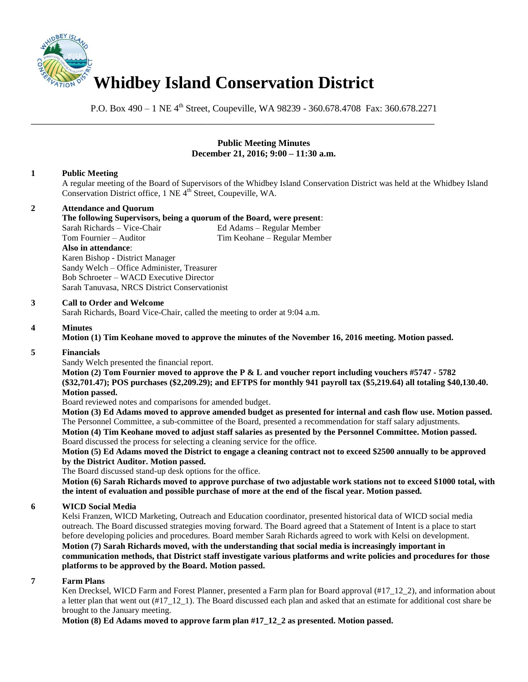

P.O. Box 490 – 1 NE 4<sup>th</sup> Street, Coupeville, WA 98239 - 360.678.4708 Fax: 360.678.2271

\_\_\_\_\_\_\_\_\_\_\_\_\_\_\_\_\_\_\_\_\_\_\_\_\_\_\_\_\_\_\_\_\_\_\_\_\_\_\_\_\_\_\_\_\_\_\_\_\_\_\_\_\_\_\_\_\_\_\_\_\_\_\_\_\_\_\_\_\_\_\_\_\_\_\_\_\_\_

### **Public Meeting Minutes December 21, 2016; 9:00 – 11:30 a.m.**

# **1 Public Meeting**

A regular meeting of the Board of Supervisors of the Whidbey Island Conservation District was held at the Whidbey Island Conservation District office, 1 NE 4<sup>th</sup> Street, Coupeville, WA.

# **2 Attendance and Quorum**

# **The following Supervisors, being a quorum of the Board, were present**:

Sarah Richards – Vice-Chair Ed Adams – Regular Member Tim Keohane – Regular Member **Also in attendance**: Karen Bishop - District Manager Sandy Welch – Office Administer, Treasurer Bob Schroeter – WACD Executive Director Sarah Tanuvasa, NRCS District Conservationist

### **3 Call to Order and Welcome**

Sarah Richards, Board Vice-Chair, called the meeting to order at 9:04 a.m.

### **4 Minutes**

**Motion (1) Tim Keohane moved to approve the minutes of the November 16, 2016 meeting. Motion passed.** 

### **5 Financials**

Sandy Welch presented the financial report.

**Motion (2) Tom Fournier moved to approve the P & L and voucher report including vouchers #5747 - 5782 (\$32,701.47); POS purchases (\$2,209.29); and EFTPS for monthly 941 payroll tax (\$5,219.64) all totaling \$40,130.40. Motion passed.** 

Board reviewed notes and comparisons for amended budget.

**Motion (3) Ed Adams moved to approve amended budget as presented for internal and cash flow use. Motion passed.** The Personnel Committee, a sub-committee of the Board, presented a recommendation for staff salary adjustments. **Motion (4) Tim Keohane moved to adjust staff salaries as presented by the Personnel Committee. Motion passed.** Board discussed the process for selecting a cleaning service for the office.

**Motion (5) Ed Adams moved the District to engage a cleaning contract not to exceed \$2500 annually to be approved by the District Auditor. Motion passed.**

The Board discussed stand-up desk options for the office.

**Motion (6) Sarah Richards moved to approve purchase of two adjustable work stations not to exceed \$1000 total, with the intent of evaluation and possible purchase of more at the end of the fiscal year. Motion passed.**

### **6 WICD Social Media**

Kelsi Franzen, WICD Marketing, Outreach and Education coordinator, presented historical data of WICD social media outreach. The Board discussed strategies moving forward. The Board agreed that a Statement of Intent is a place to start before developing policies and procedures. Board member Sarah Richards agreed to work with Kelsi on development. **Motion (7) Sarah Richards moved, with the understanding that social media is increasingly important in communication methods, that District staff investigate various platforms and write policies and procedures for those platforms to be approved by the Board. Motion passed.** 

#### **7 Farm Plans**

Ken Drecksel, WICD Farm and Forest Planner, presented a Farm plan for Board approval (#17-12-2), and information about a letter plan that went out (#17\_12\_1). The Board discussed each plan and asked that an estimate for additional cost share be brought to the January meeting.

**Motion (8) Ed Adams moved to approve farm plan #17\_12\_2 as presented. Motion passed.**